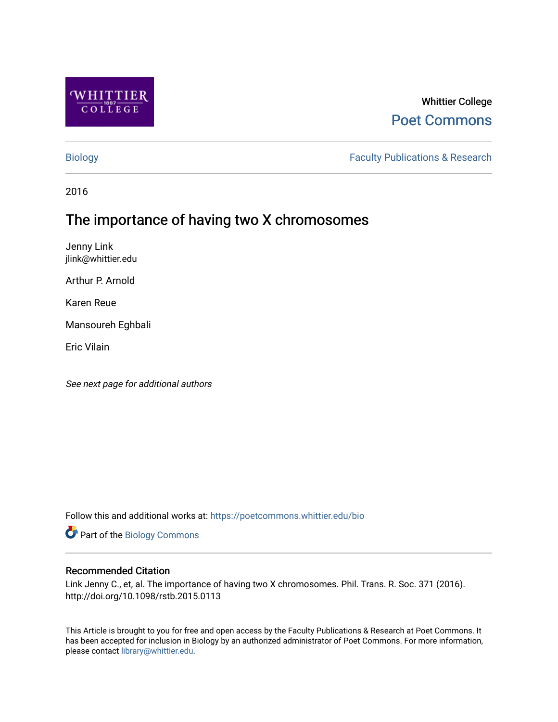

### Whittier College [Poet Commons](https://poetcommons.whittier.edu/)

[Biology](https://poetcommons.whittier.edu/bio) **Faculty Publications & Research** 

2016

## The importance of having two X chromosomes

Jenny Link jlink@whittier.edu

Arthur P. Arnold

Karen Reue

Mansoureh Eghbali

Eric Vilain

See next page for additional authors

Follow this and additional works at: [https://poetcommons.whittier.edu/bio](https://poetcommons.whittier.edu/bio?utm_source=poetcommons.whittier.edu%2Fbio%2F4&utm_medium=PDF&utm_campaign=PDFCoverPages)

Part of the [Biology Commons](http://network.bepress.com/hgg/discipline/41?utm_source=poetcommons.whittier.edu%2Fbio%2F4&utm_medium=PDF&utm_campaign=PDFCoverPages) 

#### Recommended Citation

Link Jenny C., et, al. The importance of having two X chromosomes. Phil. Trans. R. Soc. 371 (2016). http://doi.org/10.1098/rstb.2015.0113

This Article is brought to you for free and open access by the Faculty Publications & Research at Poet Commons. It has been accepted for inclusion in Biology by an authorized administrator of Poet Commons. For more information, please contact [library@whittier.edu](mailto:library@whittier.edu).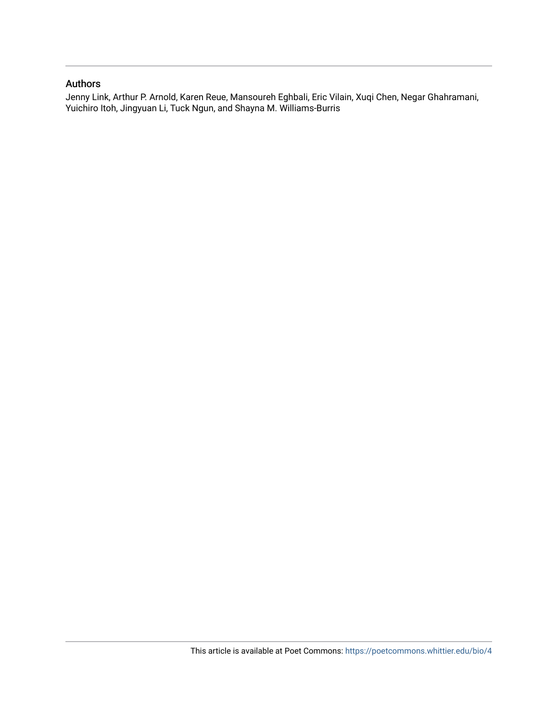#### Authors

Jenny Link, Arthur P. Arnold, Karen Reue, Mansoureh Eghbali, Eric Vilain, Xuqi Chen, Negar Ghahramani, Yuichiro Itoh, Jingyuan Li, Tuck Ngun, and Shayna M. Williams-Burris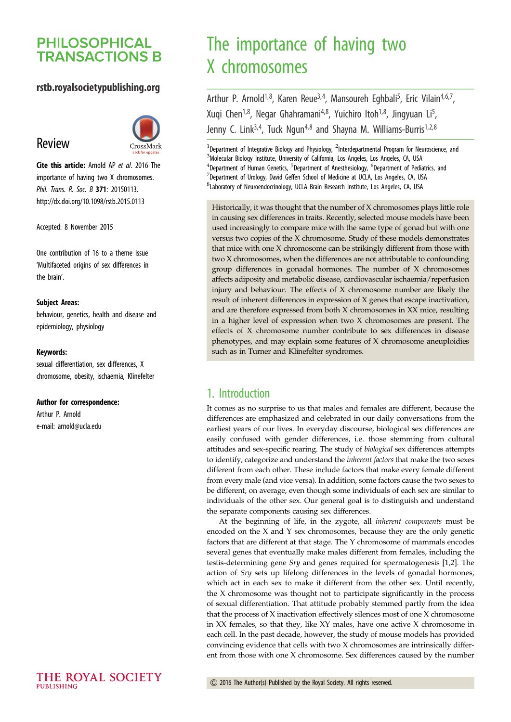### **PHILOSOPHICAL TRANSACTIONS B**

### rstb.royalsocietypublishing.org

### Review



Cite this article: Arnold AP et al. 2016 The importance of having two X chromosomes. Phil. Trans. R. Soc. B 371: 20150113. http://dx.doi.org/10.1098/rstb.2015.0113

Accepted: 8 November 2015

One contribution of 16 to a theme issue 'Multifaceted origins of sex differences in the brain'.

#### Subject Areas:

behaviour, genetics, health and disease and epidemiology, physiology

#### Keywords:

sexual differentiation, sex differences, X chromosome, obesity, ischaemia, Klinefelter

#### Author for correspondence:

Arthur P. Arnold e-mail: [arnold@ucla.edu](mailto:arnold@ucla.edu)

# The importance of having two X chromosomes

Arthur P. Arnold<sup>1,8</sup>, Karen Reue<sup>3,4</sup>, Mansoureh Eghbali<sup>5</sup>, Eric Vilain<sup>4,6,7</sup>, Xuqi Chen<sup>1,8</sup>, Negar Ghahramani<sup>4,8</sup>, Yuichiro Itoh<sup>1,8</sup>, Jingyuan Li<sup>5</sup>, , Jenny C. Link<sup>3,4</sup>, Tuck Ngun<sup>4,8</sup> and Shayna M. Williams-Burris<sup>1,2,8</sup>

<sup>1</sup>Department of Integrative Biology and Physiology, <sup>2</sup>Interdepartmental Program for Neuroscience, and <sup>3</sup>Molecular Biology Institute, University of California, Los Angeles, Los Angeles, CA, USA <sup>4</sup>Department of Human Genetics, <sup>5</sup>Department of Anesthesiology, <sup>6</sup>Department of Pediatrics, and  $^7$ Department of Urology, David Geffen School of Medicine at UCLA, Los Angeles, CA, USA <sup>8</sup>Laboratory of Neuroendocrinology, UCLA Brain Research Institute, Los Angeles, CA, USA

Historically, it was thought that the number of X chromosomes plays little role in causing sex differences in traits. Recently, selected mouse models have been used increasingly to compare mice with the same type of gonad but with one versus two copies of the X chromosome. Study of these models demonstrates that mice with one X chromosome can be strikingly different from those with two X chromosomes, when the differences are not attributable to confounding group differences in gonadal hormones. The number of X chromosomes affects adiposity and metabolic disease, cardiovascular ischaemia/reperfusion injury and behaviour. The effects of X chromosome number are likely the result of inherent differences in expression of X genes that escape inactivation, and are therefore expressed from both X chromosomes in XX mice, resulting in a higher level of expression when two X chromosomes are present. The effects of X chromosome number contribute to sex differences in disease phenotypes, and may explain some features of X chromosome aneuploidies such as in Turner and Klinefelter syndromes.

### 1. Introduction

It comes as no surprise to us that males and females are different, because the differences are emphasized and celebrated in our daily conversations from the earliest years of our lives. In everyday discourse, biological sex differences are easily confused with gender differences, i.e. those stemming from cultural attitudes and sex-specific rearing. The study of biological sex differences attempts to identify, categorize and understand the inherent factors that make the two sexes different from each other. These include factors that make every female different from every male (and vice versa). In addition, some factors cause the two sexes to be different, on average, even though some individuals of each sex are similar to individuals of the other sex. Our general goal is to distinguish and understand the separate components causing sex differences.

At the beginning of life, in the zygote, all inherent components must be encoded on the X and Y sex chromosomes, because they are the only genetic factors that are different at that stage. The Y chromosome of mammals encodes several genes that eventually make males different from females, including the testis-determining gene Sry and genes required for spermatogenesis [\[1,2\]](#page-9-0). The action of Sry sets up lifelong differences in the levels of gonadal hormones, which act in each sex to make it different from the other sex. Until recently, the X chromosome was thought not to participate significantly in the process of sexual differentiation. That attitude probably stemmed partly from the idea that the process of X inactivation effectively silences most of one X chromosome in XX females, so that they, like XY males, have one active X chromosome in each cell. In the past decade, however, the study of mouse models has provided convincing evidence that cells with two X chromosomes are intrinsically different from those with one X chromosome. Sex differences caused by the number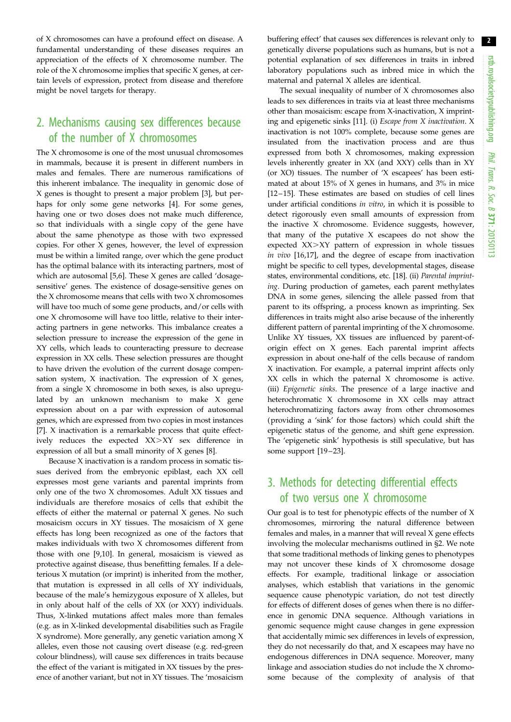of X chromosomes can have a profound effect on disease. A fundamental understanding of these diseases requires an appreciation of the effects of X chromosome number. The role of the X chromosome implies that specific X genes, at certain levels of expression, protect from disease and therefore might be novel targets for therapy.

### 2. Mechanisms causing sex differences because of the number of X chromosomes

The X chromosome is one of the most unusual chromosomes in mammals, because it is present in different numbers in males and females. There are numerous ramifications of this inherent imbalance. The inequality in genomic dose of X genes is thought to present a major problem [\[3\]](#page-9-0), but per-haps for only some gene networks [[4](#page-10-0)]. For some genes, having one or two doses does not make much difference, so that individuals with a single copy of the gene have about the same phenotype as those with two expressed copies. For other X genes, however, the level of expression must be within a limited range, over which the gene product has the optimal balance with its interacting partners, most of which are autosomal [\[5,6](#page-10-0)]. These X genes are called 'dosagesensitive' genes. The existence of dosage-sensitive genes on the X chromosome means that cells with two X chromosomes will have too much of some gene products, and/or cells with one X chromosome will have too little, relative to their interacting partners in gene networks. This imbalance creates a selection pressure to increase the expression of the gene in XY cells, which leads to counteracting pressure to decrease expression in XX cells. These selection pressures are thought to have driven the evolution of the current dosage compensation system, X inactivation. The expression of X genes, from a single X chromosome in both sexes, is also upregulated by an unknown mechanism to make X gene expression about on a par with expression of autosomal genes, which are expressed from two copies in most instances [\[7\]](#page-10-0). X inactivation is a remarkable process that quite effectively reduces the expected XX>XY sex difference in expression of all but a small minority of X genes [\[8\]](#page-10-0).

Because X inactivation is a random process in somatic tissues derived from the embryonic epiblast, each XX cell expresses most gene variants and parental imprints from only one of the two X chromosomes. Adult XX tissues and individuals are therefore mosaics of cells that exhibit the effects of either the maternal or paternal X genes. No such mosaicism occurs in XY tissues. The mosaicism of X gene effects has long been recognized as one of the factors that makes individuals with two X chromosomes different from those with one [[9](#page-10-0),[10\]](#page-10-0). In general, mosaicism is viewed as protective against disease, thus benefitting females. If a deleterious X mutation (or imprint) is inherited from the mother, that mutation is expressed in all cells of XY individuals, because of the male's hemizygous exposure of X alleles, but in only about half of the cells of XX (or XXY) individuals. Thus, X-linked mutations affect males more than females (e.g. as in X-linked developmental disabilities such as Fragile X syndrome). More generally, any genetic variation among X alleles, even those not causing overt disease (e.g. red-green colour blindness), will cause sex differences in traits because the effect of the variant is mitigated in XX tissues by the presence of another variant, but not in XY tissues. The 'mosaicism buffering effect' that causes sex differences is relevant only to genetically diverse populations such as humans, but is not a potential explanation of sex differences in traits in inbred laboratory populations such as inbred mice in which the maternal and paternal X alleles are identical.

The sexual inequality of number of X chromosomes also leads to sex differences in traits via at least three mechanisms other than mosaicism: escape from X-inactivation, X imprinting and epigenetic sinks [\[11](#page-10-0)]. (i) Escape from X inactivation. X inactivation is not 100% complete, because some genes are insulated from the inactivation process and are thus expressed from both X chromosomes, making expression levels inherently greater in XX (and XXY) cells than in XY (or XO) tissues. The number of 'X escapees' has been estimated at about 15% of X genes in humans, and 3% in mice [[12](#page-10-0) –[15](#page-10-0)]. These estimates are based on studies of cell lines under artificial conditions in vitro, in which it is possible to detect rigorously even small amounts of expression from the inactive X chromosome. Evidence suggests, however, that many of the putative X escapees do not show the expected XX>XY pattern of expression in whole tissues in vivo [[16,17\]](#page-10-0), and the degree of escape from inactivation might be specific to cell types, developmental stages, disease states, environmental conditions, etc. [[18\]](#page-10-0). (ii) Parental imprinting. During production of gametes, each parent methylates DNA in some genes, silencing the allele passed from that parent to its offspring, a process known as imprinting. Sex differences in traits might also arise because of the inherently different pattern of parental imprinting of the X chromosome. Unlike XY tissues, XX tissues are influenced by parent-oforigin effect on X genes. Each parental imprint affects expression in about one-half of the cells because of random X inactivation. For example, a paternal imprint affects only XX cells in which the paternal X chromosome is active. (iii) Epigenetic sinks. The presence of a large inactive and heterochromatic X chromosome in XX cells may attract heterochromatizing factors away from other chromosomes (providing a 'sink' for those factors) which could shift the epigenetic status of the genome, and shift gene expression. The 'epigenetic sink' hypothesis is still speculative, but has some support [[19](#page-10-0)-[23](#page-10-0)].

### 3. Methods for detecting differential effects of two versus one X chromosome

Our goal is to test for phenotypic effects of the number of X chromosomes, mirroring the natural difference between females and males, in a manner that will reveal X gene effects involving the molecular mechanisms outlined in §2. We note that some traditional methods of linking genes to phenotypes may not uncover these kinds of X chromosome dosage effects. For example, traditional linkage or association analyses, which establish that variations in the genomic sequence cause phenotypic variation, do not test directly for effects of different doses of genes when there is no difference in genomic DNA sequence. Although variations in genomic sequence might cause changes in gene expression that accidentally mimic sex differences in levels of expression, they do not necessarily do that, and X escapees may have no endogenous differences in DNA sequence. Moreover, many linkage and association studies do not include the X chromosome because of the complexity of analysis of that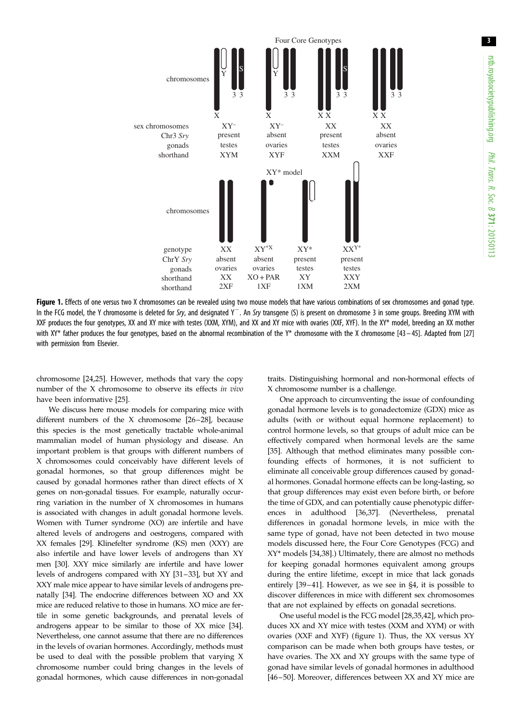<span id="page-4-0"></span>

**Figure 1.** Effects of one versus two X chromosomes can be revealed using two mouse models that have various combinations of sex chromosomes and gonad type. In the FCG model, the Y chromosome is deleted for Sry, and designated Y<sup>-</sup>. An Sry transgene (S) is present on chromosome 3 in some groups. Breeding XYM with XXF produces the four genotypes, XX and XY mice with testes (XXM, XYM), and XX and XY mice with ovaries (XXF, XYF). In the XY\* model, breeding an XX mother with XY\* father produces the four genotypes, based on the abnormal recombination of the Y\* chromosome with the X chromosome [\[43](#page-10-0) - [45](#page-10-0)]. Adapted from [[27](#page-10-0)] with permission from Elsevier.

chromosome [[24,25\]](#page-10-0). However, methods that vary the copy number of the X chromosome to observe its effects in vivo have been informative [\[25](#page-10-0)].

We discuss here mouse models for comparing mice with different numbers of the X chromosome [\[26](#page-10-0)–[28\]](#page-10-0), because this species is the most genetically tractable whole-animal mammalian model of human physiology and disease. An important problem is that groups with different numbers of X chromosomes could conceivably have different levels of gonadal hormones, so that group differences might be caused by gonadal hormones rather than direct effects of X genes on non-gonadal tissues. For example, naturally occurring variation in the number of X chromosomes in humans is associated with changes in adult gonadal hormone levels. Women with Turner syndrome (XO) are infertile and have altered levels of androgens and oestrogens, compared with XX females [\[29](#page-10-0)]. Klinefelter syndrome (KS) men (XXY) are also infertile and have lower levels of androgens than XY men [\[30\]](#page-10-0). XXY mice similarly are infertile and have lower levels of androgens compared with XY [[31](#page-10-0)–[33](#page-10-0)], but XY and XXY male mice appear to have similar levels of androgens prenatally [[34](#page-10-0)]. The endocrine differences between XO and XX mice are reduced relative to those in humans. XO mice are fertile in some genetic backgrounds, and prenatal levels of androgens appear to be similar to those of XX mice [[34](#page-10-0)]. Nevertheless, one cannot assume that there are no differences in the levels of ovarian hormones. Accordingly, methods must be used to deal with the possible problem that varying X chromosome number could bring changes in the levels of gonadal hormones, which cause differences in non-gonadal

traits. Distinguishing hormonal and non-hormonal effects of X chromosome number is a challenge.

One approach to circumventing the issue of confounding gonadal hormone levels is to gonadectomize (GDX) mice as adults (with or without equal hormone replacement) to control hormone levels, so that groups of adult mice can be effectively compared when hormonal levels are the same [[35\]](#page-10-0). Although that method eliminates many possible confounding effects of hormones, it is not sufficient to eliminate all conceivable group differences caused by gonadal hormones. Gonadal hormone effects can be long-lasting, so that group differences may exist even before birth, or before the time of GDX, and can potentially cause phenotypic differences in adulthood [\[36](#page-10-0),[37\]](#page-10-0). (Nevertheless, prenatal differences in gonadal hormone levels, in mice with the same type of gonad, have not been detected in two mouse models discussed here, the Four Core Genotypes (FCG) and XY\* models [[34,38](#page-10-0)].) Ultimately, there are almost no methods for keeping gonadal hormones equivalent among groups during the entire lifetime, except in mice that lack gonads entirely [[39](#page-10-0)–[41](#page-10-0)]. However, as we see in §4, it is possible to discover differences in mice with different sex chromosomes that are not explained by effects on gonadal secretions.

One useful model is the FCG model [\[28,35](#page-10-0),[42\]](#page-10-0), which produces XX and XY mice with testes (XXM and XYM) or with ovaries (XXF and XYF) (figure 1). Thus, the XX versus XY comparison can be made when both groups have testes, or have ovaries. The XX and XY groups with the same type of gonad have similar levels of gonadal hormones in adulthood [[46](#page-10-0) –[50](#page-11-0)]. Moreover, differences between XX and XY mice are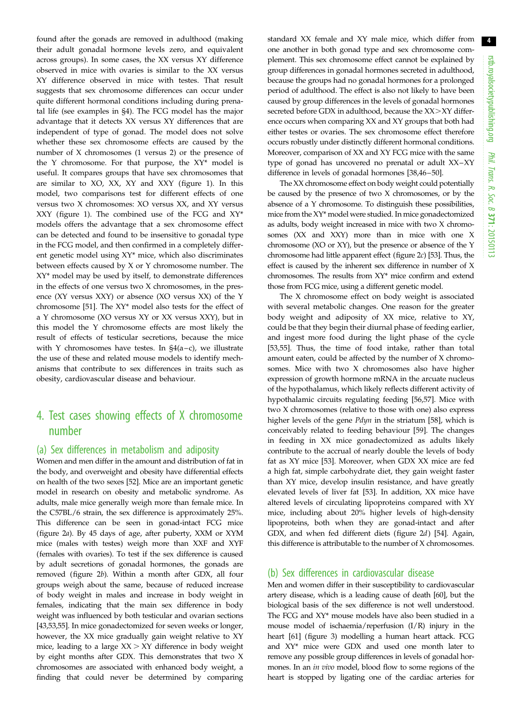found after the gonads are removed in adulthood (making their adult gonadal hormone levels zero, and equivalent across groups). In some cases, the XX versus XY difference observed in mice with ovaries is similar to the XX versus XY difference observed in mice with testes. That result suggests that sex chromosome differences can occur under quite different hormonal conditions including during prenatal life (see examples in §4). The FCG model has the major advantage that it detects XX versus XY differences that are independent of type of gonad. The model does not solve whether these sex chromosome effects are caused by the number of X chromosomes (1 versus 2) or the presence of the Y chromosome. For that purpose, the XY\* model is useful. It compares groups that have sex chromosomes that are similar to XO, XX, XY and XXY ([figure 1\)](#page-4-0). In this model, two comparisons test for different effects of one versus two X chromosomes: XO versus XX, and XY versus XXY [\(figure 1\)](#page-4-0). The combined use of the FCG and XY\* models offers the advantage that a sex chromosome effect can be detected and found to be insensitive to gonadal type in the FCG model, and then confirmed in a completely different genetic model using XY\* mice, which also discriminates between effects caused by X or Y chromosome number. The XY\* model may be used by itself, to demonstrate differences in the effects of one versus two X chromosomes, in the presence (XY versus XXY) or absence (XO versus XX) of the Y chromosome [\[51](#page-11-0)]. The XY\* model also tests for the effect of a Y chromosome (XO versus XY or XX versus XXY), but in this model the Y chromosome effects are most likely the result of effects of testicular secretions, because the mice with Y chromosomes have testes. In  $\S4(a-c)$ , we illustrate the use of these and related mouse models to identify mechanisms that contribute to sex differences in traits such as obesity, cardiovascular disease and behaviour.

### 4. Test cases showing effects of X chromosome number

#### (a) Sex differences in metabolism and adiposity

Women and men differ in the amount and distribution of fat in the body, and overweight and obesity have differential effects on health of the two sexes [\[52\]](#page-11-0). Mice are an important genetic model in research on obesity and metabolic syndrome. As adults, male mice generally weigh more than female mice. In the C57BL/6 strain, the sex difference is approximately 25%. This difference can be seen in gonad-intact FCG mice [\(figure 2](#page-6-0)a). By 45 days of age, after puberty, XXM or XYM mice (males with testes) weigh more than XXF and XYF (females with ovaries). To test if the sex difference is caused by adult secretions of gonadal hormones, the gonads are removed [\(figure 2](#page-6-0)b). Within a month after GDX, all four groups weigh about the same, because of reduced increase of body weight in males and increase in body weight in females, indicating that the main sex difference in body weight was influenced by both testicular and ovarian sections [\[43](#page-10-0)[,53,55](#page-11-0)]. In mice gonadectomized for seven weeks or longer, however, the XX mice gradually gain weight relative to XY mice, leading to a large  $XX > XY$  difference in body weight by eight months after GDX. This demonstrates that two X chromosomes are associated with enhanced body weight, a finding that could never be determined by comparing

standard XX female and XY male mice, which differ from one another in both gonad type and sex chromosome complement. This sex chromosome effect cannot be explained by group differences in gonadal hormones secreted in adulthood, because the groups had no gonadal hormones for a prolonged period of adulthood. The effect is also not likely to have been caused by group differences in the levels of gonadal hormones secreted before GDX in adulthood, because the  $XX>XY$  difference occurs when comparing XX and XY groups that both had either testes or ovaries. The sex chromosome effect therefore occurs robustly under distinctly different hormonal conditions. Moreover, comparison of XX and XY FCG mice with the same type of gonad has uncovered no prenatal or adult XX–XY difference in levels of gonadal hormones [\[38,46](#page-10-0)–[50\]](#page-11-0).

The XX chromosome effect on body weight could potentially be caused by the presence of two X chromosomes, or by the absence of a Y chromosome. To distinguish these possibilities, mice from the XY\* model were studied. In mice gonadectomized as adults, body weight increased in mice with two X chromosomes (XX and XXY) more than in mice with one X chromosome (XO or XY), but the presence or absence of the Y chromosome had little apparent effect ([figure 2](#page-6-0)c) [[53](#page-11-0)]. Thus, the effect is caused by the inherent sex difference in number of X chromosomes. The results from XY\* mice confirm and extend those from FCG mice, using a different genetic model.

The X chromosome effect on body weight is associated with several metabolic changes. One reason for the greater body weight and adiposity of XX mice, relative to XY, could be that they begin their diurnal phase of feeding earlier, and ingest more food during the light phase of the cycle [[53,55\]](#page-11-0). Thus, the time of food intake, rather than total amount eaten, could be affected by the number of X chromosomes. Mice with two X chromosomes also have higher expression of growth hormone mRNA in the arcuate nucleus of the hypothalamus, which likely reflects different activity of hypothalamic circuits regulating feeding [\[56](#page-11-0),[57\]](#page-11-0). Mice with two X chromosomes (relative to those with one) also express higher levels of the gene Pdyn in the striatum [[58\]](#page-11-0), which is conceivably related to feeding behaviour [\[59](#page-11-0)]. The changes in feeding in XX mice gonadectomized as adults likely contribute to the accrual of nearly double the levels of body fat as XY mice [\[53](#page-11-0)]. Moreover, when GDX XX mice are fed a high fat, simple carbohydrate diet, they gain weight faster than XY mice, develop insulin resistance, and have greatly elevated levels of liver fat [[53\]](#page-11-0). In addition, XX mice have altered levels of circulating lipoproteins compared with XY mice, including about 20% higher levels of high-density lipoproteins, both when they are gonad-intact and after GDX, and when fed different diets ([figure 2](#page-6-0)d) [[54\]](#page-11-0). Again, this difference is attributable to the number of X chromosomes.

#### (b) Sex differences in cardiovascular disease

Men and women differ in their susceptibility to cardiovascular artery disease, which is a leading cause of death [\[60\]](#page-11-0), but the biological basis of the sex difference is not well understood. The FCG and XY\* mouse models have also been studied in a mouse model of ischaemia/reperfusion (I/R) injury in the heart [\[61\]](#page-11-0) [\(figure 3\)](#page-7-0) modelling a human heart attack. FCG and XY\* mice were GDX and used one month later to remove any possible group differences in levels of gonadal hormones. In an in vivo model, blood flow to some regions of the heart is stopped by ligating one of the cardiac arteries for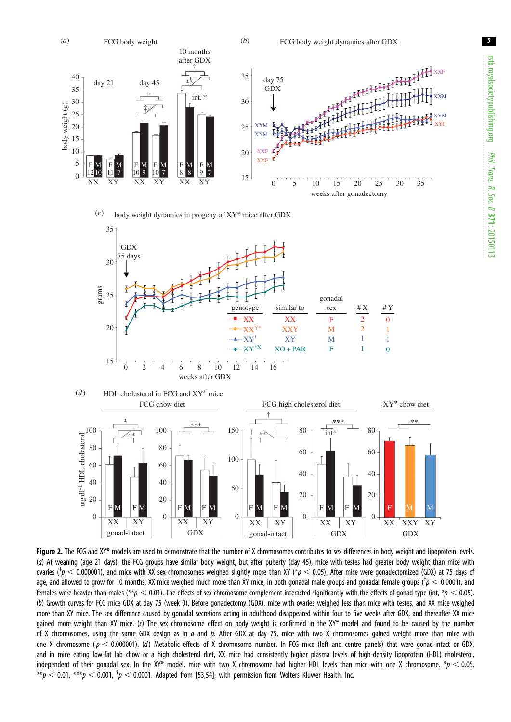<span id="page-6-0"></span>

body weight dynamics in progeny of XY\* mice after GDX (*c*)

(*d*)





Figure 2. The FCG and XY\* models are used to demonstrate that the number of X chromosomes contributes to sex differences in body weight and lipoprotein levels. (a) At weaning (age 21 days), the FCG groups have similar body weight, but after puberty (day 45), mice with testes had greater body weight than mice with ovaries ( $^{\ddagger}p$   $<$  0.000001), and mice with XX sex chromosomes weighed slightly more than XY ( $^{\ast}p$   $<$  0.05). After mice were gonadectomized (GDX) at 75 days of age, and allowed to grow for 10 months, XX mice weighed much more than XY mice, in both gonadal male groups and gonadal female groups ( $^\dagger p <$  0.0001), and females were heavier than males (\*\*p < 0.01). The effects of sex chromosome complement interacted significantly with the effects of gonad type (int, \*p < 0.05). (b) Growth curves for FCG mice GDX at day 75 (week 0). Before gonadectomy (GDX), mice with ovaries weighed less than mice with testes, and XX mice weighed more than XY mice. The sex difference caused by gonadal secretions acting in adulthood disappeared within four to five weeks after GDX, and thereafter XX mice gained more weight than XY mice. (c) The sex chromosome effect on body weight is confirmed in the XY\* model and found to be caused by the number of X chromosomes, using the same GDX design as in a and b. After GDX at day 75, mice with two X chromosomes gained weight more than mice with one X chromosome ( $p < 0.000001$ ). (d) Metabolic effects of X chromosome number. In FCG mice (left and centre panels) that were gonad-intact or GDX. and in mice eating low-fat lab chow or a high cholesterol diet, XX mice had consistently higher plasma levels of high-density lipoprotein (HDL) cholesterol, independent of their gonadal sex. In the XY\* model, mice with two X chromosome had higher HDL levels than mice with one X chromosome. \*p < 0.05, \*\* $p <$  0.01, \*\*\* $p <$  0.001,  $^{\dagger}p <$  0.0001. Adapted from [\[53,54](#page-11-0)], with permission from Wolters Kluwer Health, Inc.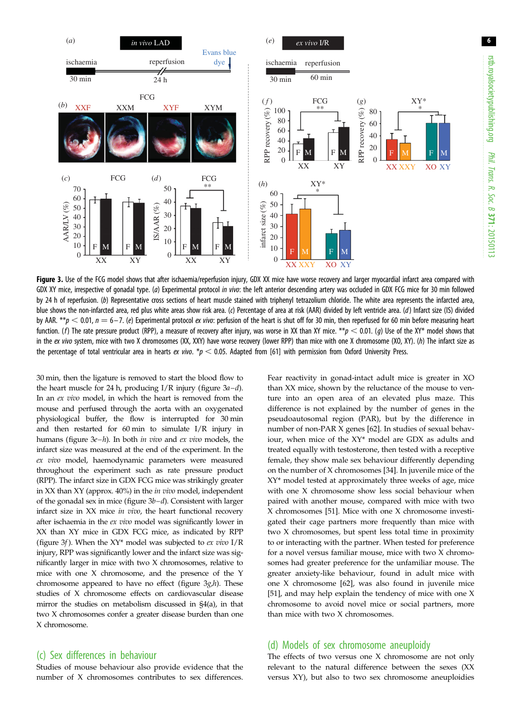<span id="page-7-0"></span>

Figure 3. Use of the FCG model shows that after ischaemia/reperfusion injury, GDX XX mice have worse recovery and larger myocardial infarct area compared with GDX XY mice, irrespective of gonadal type. (a) Experimental protocol in vivo: the left anterior descending artery was occluded in GDX FCG mice for 30 min followed by 24 h of reperfusion. (b) Representative cross sections of heart muscle stained with triphenyl tetrazolium chloride. The white area represents the infarcted area, blue shows the non-infarcted area, red plus white areas show risk area. (c) Percentage of area at risk (AAR) divided by left ventricle area. (d) Infarct size (IS) divided by AAR.  $**p < 0.01$ ,  $n = 6-7$ . (e) Experimental protocol ex vivo: perfusion of the heart is shut off for 30 min, then reperfused for 60 min before measuring heart function. (f) The rate pressure product (RPP), a measure of recovery after injury, was worse in XX than XY mice. \*\*p < 0.01. (q) Use of the XY\* model shows that in the ex vivo system, mice with two X chromosomes (XX, XXY) have worse recovery (lower RPP) than mice with one X chromosome (XO, XY). (h) The infarct size as the percentage of total ventricular area in hearts ex vivo. \*p < 0.05. Adapted from [\[61\]](#page-11-0) with permission from Oxford University Press.

30 min, then the ligature is removed to start the blood flow to the heart muscle for 24 h, producing  $I/R$  injury (figure  $3a-d$ ). In an ex vivo model, in which the heart is removed from the mouse and perfused through the aorta with an oxygenated physiological buffer, the flow is interrupted for 30 min and then restarted for 60 min to simulate I/R injury in humans (figure  $3e-h$ ). In both *in vivo* and *ex vivo* models, the infarct size was measured at the end of the experiment. In the ex vivo model, haemodynamic parameters were measured throughout the experiment such as rate pressure product (RPP). The infarct size in GDX FCG mice was strikingly greater in XX than XY (approx. 40%) in the in vivo model, independent of the gonadal sex in mice (figure 3b–d). Consistent with larger infarct size in XX mice in vivo, the heart functional recovery after ischaemia in the ex vivo model was significantly lower in XX than XY mice in GDX FCG mice, as indicated by RPP (figure  $3f$ ). When the XY\* model was subjected to ex vivo I/R injury, RPP was significantly lower and the infarct size was significantly larger in mice with two X chromosomes, relative to mice with one X chromosome, and the presence of the Y chromosome appeared to have no effect (figure  $3g,h$ ). These studies of X chromosome effects on cardiovascular disease mirror the studies on metabolism discussed in §4(a), in that two X chromosomes confer a greater disease burden than one X chromosome.

#### (c) Sex differences in behaviour

Studies of mouse behaviour also provide evidence that the number of X chromosomes contributes to sex differences. Fear reactivity in gonad-intact adult mice is greater in XO than XX mice, shown by the reluctance of the mouse to venture into an open area of an elevated plus maze. This difference is not explained by the number of genes in the pseudoautosomal region (PAR), but by the difference in number of non-PAR X genes [[62\]](#page-11-0). In studies of sexual behaviour, when mice of the XY\* model are GDX as adults and treated equally with testosterone, then tested with a receptive female, they show male sex behaviour differently depending on the number of X chromosomes [[34\]](#page-10-0). In juvenile mice of the XY\* model tested at approximately three weeks of age, mice with one X chromosome show less social behaviour when paired with another mouse, compared with mice with two X chromosomes [[51\]](#page-11-0). Mice with one X chromosome investigated their cage partners more frequently than mice with two X chromosomes, but spent less total time in proximity to or interacting with the partner. When tested for preference for a novel versus familiar mouse, mice with two X chromosomes had greater preference for the unfamiliar mouse. The greater anxiety-like behaviour, found in adult mice with one X chromosome [\[62](#page-11-0)], was also found in juvenile mice [[51\]](#page-11-0), and may help explain the tendency of mice with one X chromosome to avoid novel mice or social partners, more than mice with two X chromosomes.

#### (d) Models of sex chromosome aneuploidy

The effects of two versus one X chromosome are not only relevant to the natural difference between the sexes (XX versus XY), but also to two sex chromosome aneuploidies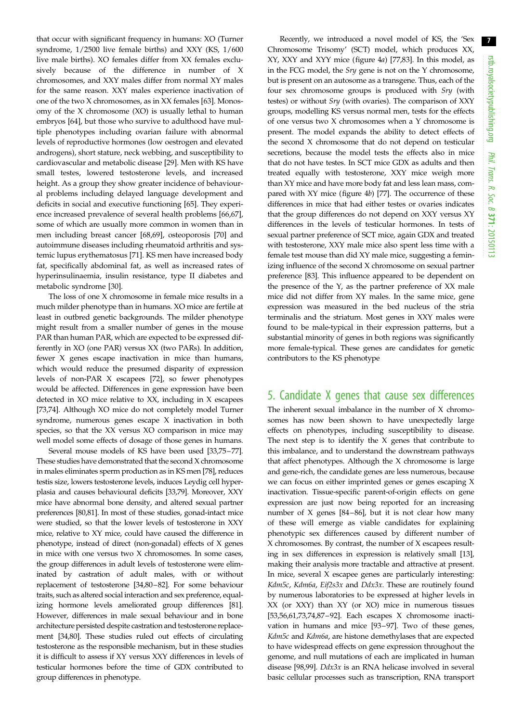that occur with significant frequency in humans: XO (Turner syndrome, 1/2500 live female births) and XXY (KS, 1/600 live male births). XO females differ from XX females exclusively because of the difference in number of X chromosomes, and XXY males differ from normal XY males for the same reason. XXY males experience inactivation of one of the two X chromosomes, as in XX females [\[63](#page-11-0)]. Monosomy of the X chromosome (XO) is usually lethal to human embryos [[64\]](#page-11-0), but those who survive to adulthood have multiple phenotypes including ovarian failure with abnormal levels of reproductive hormones (low oestrogen and elevated androgens), short stature, neck webbing, and susceptibility to cardiovascular and metabolic disease [\[29](#page-10-0)]. Men with KS have small testes, lowered testosterone levels, and increased height. As a group they show greater incidence of behavioural problems including delayed language development and deficits in social and executive functioning [\[65](#page-11-0)]. They experience increased prevalence of several health problems [\[66,67](#page-11-0)], some of which are usually more common in women than in men including breast cancer [\[68](#page-11-0),[69\]](#page-11-0), osteoporosis [\[70](#page-11-0)] and autoimmune diseases including rheumatoid arthritis and systemic lupus erythematosus [[71\]](#page-11-0). KS men have increased body fat, specifically abdominal fat, as well as increased rates of hyperinsulinaemia, insulin resistance, type II diabetes and metabolic syndrome [\[30](#page-10-0)].

The loss of one X chromosome in female mice results in a much milder phenotype than in humans. XO mice are fertile at least in outbred genetic backgrounds. The milder phenotype might result from a smaller number of genes in the mouse PAR than human PAR, which are expected to be expressed differently in XO (one PAR) versus XX (two PARs). In addition, fewer X genes escape inactivation in mice than humans, which would reduce the presumed disparity of expression levels of non-PAR X escapees [[72](#page-11-0)], so fewer phenotypes would be affected. Differences in gene expression have been detected in XO mice relative to XX, including in X escapees [\[73,74](#page-11-0)]. Although XO mice do not completely model Turner syndrome, numerous genes escape X inactivation in both species, so that the XX versus XO comparison in mice may well model some effects of dosage of those genes in humans.

Several mouse models of KS have been used [\[33,](#page-10-0)[75](#page-11-0)–[77](#page-11-0)]. These studies have demonstrated that the second X chromosome in males eliminates sperm production as in KS men [[78\]](#page-11-0), reduces testis size, lowers testosterone levels, induces Leydig cell hyperplasia and causes behavioural deficits [[33](#page-10-0),[79](#page-11-0)]. Moreover, XXY mice have abnormal bone density, and altered sexual partner preferences [\[80,81](#page-11-0)]. In most of these studies, gonad-intact mice were studied, so that the lower levels of testosterone in XXY mice, relative to XY mice, could have caused the difference in phenotype, instead of direct (non-gonadal) effects of X genes in mice with one versus two X chromosomes. In some cases, the group differences in adult levels of testosterone were eliminated by castration of adult males, with or without replacement of testosterone [\[34](#page-10-0)[,80](#page-11-0)–[82\]](#page-11-0). For some behaviour traits, such as altered social interaction and sex preference, equalizing hormone levels ameliorated group differences [[81](#page-11-0)]. However, differences in male sexual behaviour and in bone architecture persisted despite castration and testosterone replacement [\[34](#page-10-0)[,80\]](#page-11-0). These studies ruled out effects of circulating testosterone as the responsible mechanism, but in these studies it is difficult to assess if XY versus XXY differences in levels of testicular hormones before the time of GDX contributed to group differences in phenotype.

Recently, we introduced a novel model of KS, the 'Sex Chromosome Trisomy' (SCT) model, which produces XX, XY, XXY and XYY mice ([figure 4](#page-9-0)a) [[77](#page-11-0),[83](#page-11-0)]. In this model, as in the FCG model, the Sry gene is not on the Y chromosome, but is present on an autosome as a transgene. Thus, each of the four sex chromosome groups is produced with Sry (with testes) or without Sry (with ovaries). The comparison of XXY groups, modelling KS versus normal men, tests for the effects of one versus two X chromosomes when a Y chromosome is present. The model expands the ability to detect effects of the second X chromosome that do not depend on testicular secretions, because the model tests the effects also in mice that do not have testes. In SCT mice GDX as adults and then treated equally with testosterone, XXY mice weigh more than XY mice and have more body fat and less lean mass, compared with  $XY$  mice [\(figure 4](#page-9-0)b) [\[77\]](#page-11-0). The occurrence of these differences in mice that had either testes or ovaries indicates that the group differences do not depend on XXY versus XY differences in the levels of testicular hormones. In tests of sexual partner preference of SCT mice, again GDX and treated with testosterone, XXY male mice also spent less time with a female test mouse than did XY male mice, suggesting a feminizing influence of the second X chromosome on sexual partner preference [\[83\]](#page-11-0). This influence appeared to be dependent on the presence of the Y, as the partner preference of XX male mice did not differ from XY males. In the same mice, gene expression was measured in the bed nucleus of the stria terminalis and the striatum. Most genes in XXY males were found to be male-typical in their expression patterns, but a substantial minority of genes in both regions was significantly more female-typical. These genes are candidates for genetic contributors to the KS phenotype

### 5. Candidate X genes that cause sex differences

The inherent sexual imbalance in the number of X chromosomes has now been shown to have unexpectedly large effects on phenotypes, including susceptibility to disease. The next step is to identify the  $X$  genes that contribute to this imbalance, and to understand the downstream pathways that affect phenotypes. Although the X chromosome is large and gene-rich, the candidate genes are less numerous, because we can focus on either imprinted genes or genes escaping X inactivation. Tissue-specific parent-of-origin effects on gene expression are just now being reported for an increasing number of  $X$  genes [\[84](#page-11-0)–[86](#page-11-0)], but it is not clear how many of these will emerge as viable candidates for explaining phenotypic sex differences caused by different number of X chromosomes. By contrast, the number of X escapees resulting in sex differences in expression is relatively small [[13\]](#page-10-0), making their analysis more tractable and attractive at present. In mice, several X escapee genes are particularly interesting: Kdm5c, Kdm6a, Eif2s3x and Ddx3x. These are routinely found by numerous laboratories to be expressed at higher levels in XX (or XXY) than XY (or XO) mice in numerous tissues [[53](#page-11-0),[56](#page-11-0),[61](#page-11-0),[73](#page-11-0),[74,87](#page-11-0)–[92](#page-12-0)]. Each escapes X chromosome inactivation in humans and mice [\[93](#page-12-0)–[97](#page-12-0)]. Two of these genes, Kdm5c and Kdm6a, are histone demethylases that are expected to have widespread effects on gene expression throughout the genome, and null mutations of each are implicated in human disease [\[98,99](#page-12-0)]. Ddx3x is an RNA helicase involved in several basic cellular processes such as transcription, RNA transport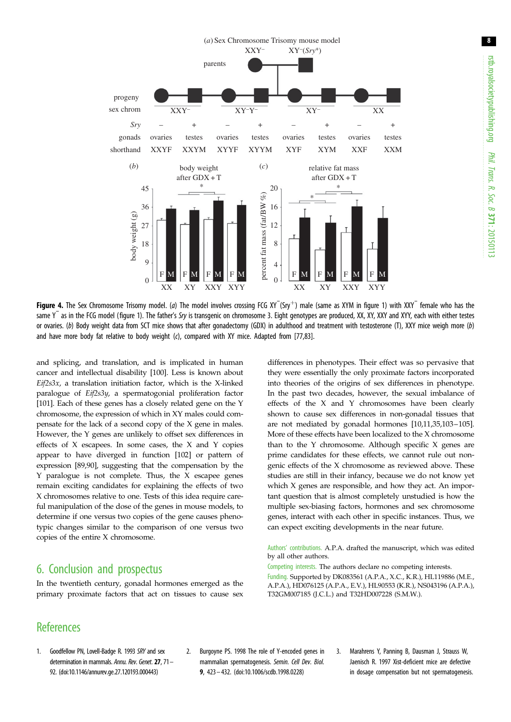<span id="page-9-0"></span>

Figure 4. The Sex Chromosome Trisomy model. (a) The model involves crossing FCG XY (Sry<sup>+</sup>) male (same as XYM in [figure 1](#page-4-0)) with XXY<sup>-</sup> female who has the same Y $^-$  as in the FCG model ([figure 1](#page-4-0)). The father's Sry is transgenic on chromosome 3. Eight genotypes are produced, XX, XY, XXY and XYY, each with either testes or ovaries. (b) Body weight data from SCT mice shows that after gonadectomy (GDX) in adulthood and treatment with testosterone (T), XXY mice weigh more (b) and have more body fat relative to body weight (c), compared with XY mice. Adapted from [\[77,83](#page-11-0)].

and splicing, and translation, and is implicated in human cancer and intellectual disability [[100](#page-12-0)]. Less is known about  $Eif2s3x$ , a translation initiation factor, which is the X-linked paralogue of Eif2s3y, a spermatogonial proliferation factor [\[101\]](#page-12-0). Each of these genes has a closely related gene on the Y chromosome, the expression of which in XY males could compensate for the lack of a second copy of the X gene in males. However, the Y genes are unlikely to offset sex differences in effects of X escapees. In some cases, the X and Y copies appear to have diverged in function [[102\]](#page-12-0) or pattern of expression [\[89,90\]](#page-12-0), suggesting that the compensation by the Y paralogue is not complete. Thus, the X escapee genes remain exciting candidates for explaining the effects of two X chromosomes relative to one. Tests of this idea require careful manipulation of the dose of the genes in mouse models, to determine if one versus two copies of the gene causes phenotypic changes similar to the comparison of one versus two copies of the entire X chromosome.

### 6. Conclusion and prospectus

In the twentieth century, gonadal hormones emerged as the primary proximate factors that act on tissues to cause sex

differences in phenotypes. Their effect was so pervasive that they were essentially the only proximate factors incorporated into theories of the origins of sex differences in phenotype. In the past two decades, however, the sexual imbalance of effects of the X and Y chromosomes have been clearly shown to cause sex differences in non-gonadal tissues that are not mediated by gonadal hormones [\[10,11,35](#page-10-0)[,103](#page-12-0)–[105\]](#page-12-0). More of these effects have been localized to the X chromosome than to the Y chromosome. Although specific X genes are prime candidates for these effects, we cannot rule out nongenic effects of the X chromosome as reviewed above. These studies are still in their infancy, because we do not know yet which X genes are responsible, and how they act. An important question that is almost completely unstudied is how the multiple sex-biasing factors, hormones and sex chromosome genes, interact with each other in specific instances. Thus, we can expect exciting developments in the near future.

Authors' contributions. A.P.A. drafted the manuscript, which was edited by all other authors.

Competing interests. The authors declare no competing interests. Funding. Supported by DK083561 (A.P.A., X.C., K.R.), HL119886 (M.E., A.P.A.), HD076125 (A.P.A., E.V.), HL90553 (K.R.), NS043196 (A.P.A.), T32GM007185 (J.C.L.) and T32HD007228 (S.M.W.).

### **References**

- 1. Goodfellow PN, Lovell-Badge R. 1993 SRY and sex determination in mammals. Annu. Rev. Genet. 27, 71– 92. ([doi:10.1146/annurev.ge.27.120193.000443](http://dx.doi.org/10.1146/annurev.ge.27.120193.000443))
- 2. Burgoyne PS. 1998 The role of Y-encoded genes in mammalian spermatogenesis. Semin. Cell Dev. Biol. 9, 423– 432. ([doi:10.1006/scdb.1998.0228\)](http://dx.doi.org/10.1006/scdb.1998.0228)
- 3. Marahrens Y, Panning B, Dausman J, Strauss W, Jaenisch R. 1997 Xist-deficient mice are defective in dosage compensation but not spermatogenesis.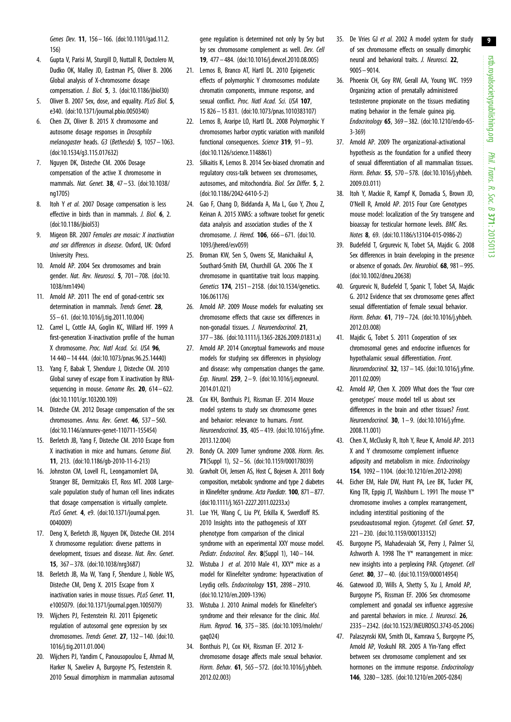<span id="page-10-0"></span>Genes Dev. 11, 156– 166. [\(doi:10.1101/gad.11.2.](http://dx.doi.org/10.1101/gad.11.2.156) [156](http://dx.doi.org/10.1101/gad.11.2.156))

- 4. Gupta V, Parisi M, Sturgill D, Nuttall R, Doctolero M, Dudko OK, Malley JD, Eastman PS, Oliver B. 2006 Global analysis of X-chromosome dosage compensation. J. Biol. 5, 3. [\(doi:10.1186/jbiol30\)](http://dx.doi.org/10.1186/jbiol30)
- 5. Oliver B. 2007 Sex, dose, and equality. PLoS Biol. 5, e340. [\(doi:10.1371/journal.pbio.0050340](http://dx.doi.org/10.1371/journal.pbio.0050340))
- 6. Chen ZX, Oliver B. 2015 X chromosome and autosome dosage responses in Drosophila melanogaster heads. G3 (Bethesda) **5**, 1057 - 1063. [\(doi:10.1534/g3.115.017632\)](http://dx.doi.org/10.1534/g3.115.017632)
- 7. Nguyen DK, Disteche CM. 2006 Dosage compensation of the active X chromosome in mammals. Nat. Genet. 38, 47 – 53. [\(doi:10.1038/](http://dx.doi.org/10.1038/ng1705) [ng1705\)](http://dx.doi.org/10.1038/ng1705)
- 8. Itoh Y et al. 2007 Dosage compensation is less effective in birds than in mammals. J. Biol. 6, 2. [\(doi:10.1186/jbiol53\)](http://dx.doi.org/10.1186/jbiol53)
- 9. Migeon BR. 2007 Females are mosaic: X inactivation and sex differences in disease. Oxford, UK: Oxford University Press.
- 10. Arnold AP. 2004 Sex chromosomes and brain gender. Nat. Rev. Neurosci. 5, 701– 708. [\(doi:10.](http://dx.doi.org/10.1038/nrn1494) [1038/nrn1494\)](http://dx.doi.org/10.1038/nrn1494)
- 11. Arnold AP. 2011 The end of gonad-centric sex determination in mammals. Trends Genet. 28. 55 – 61. ([doi:10.1016/j.tig.2011.10.004\)](http://dx.doi.org/10.1016/j.tig.2011.10.004)
- 12. Carrel L, Cottle AA, Goglin KC, Willard HF. 1999 A first-generation X-inactivation profile of the human X chromosome. Proc. Natl Acad. Sci. USA 96, 14 440– 14 444. ([doi:10.1073/pnas.96.25.14440](http://dx.doi.org/10.1073/pnas.96.25.14440))
- 13. Yang F, Babak T, Shendure J, Disteche CM. 2010 Global survey of escape from X inactivation by RNAsequencing in mouse. Genome Res. 20, 614-622. [\(doi:10.1101/gr.103200.109](http://dx.doi.org/10.1101/gr.103200.109))
- 14. Disteche CM. 2012 Dosage compensation of the sex chromosomes. Annu. Rev. Genet. 46, 537 – 560. [\(doi:10.1146/annurev-genet-110711-155454\)](http://dx.doi.org/10.1146/annurev-genet-110711-155454)
- 15. Berletch JB, Yang F, Disteche CM. 2010 Escape from X inactivation in mice and humans. Genome Biol. 11, 213. [\(doi:10.1186/gb-2010-11-6-213](http://dx.doi.org/10.1186/gb-2010-11-6-213))
- 16. Johnston CM, Lovell FL, Leongamornlert DA, Stranger BE, Dermitzakis ET, Ross MT. 2008 Largescale population study of human cell lines indicates that dosage compensation is virtually complete. PLoS Genet. 4, e9. ([doi:10.1371/journal.pgen.](http://dx.doi.org/10.1371/journal.pgen.0040009) [0040009\)](http://dx.doi.org/10.1371/journal.pgen.0040009)
- 17. Deng X, Berletch JB, Nguyen DK, Disteche CM. 2014 X chromosome regulation: diverse patterns in development, tissues and disease. Nat. Rev. Genet. 15, 367– 378. ([doi:10.1038/nrg3687](http://dx.doi.org/10.1038/nrg3687))
- 18. Berletch JB, Ma W, Yang F, Shendure J, Noble WS, Disteche CM, Deng X. 2015 Escape from X inactivation varies in mouse tissues. PLoS Genet. 11, e1005079. ([doi:10.1371/journal.pgen.1005079](http://dx.doi.org/10.1371/journal.pgen.1005079))
- 19. Wijchers PJ, Festenstein RJ. 2011 Epigenetic regulation of autosomal gene expression by sex chromosomes. Trends Genet. 27, 132– 140. ([doi:10.](http://dx.doi.org/10.1016/j.tig.2011.01.004) [1016/j.tig.2011.01.004](http://dx.doi.org/10.1016/j.tig.2011.01.004))
- 20. Wijchers PJ, Yandim C, Panousopoulou E, Ahmad M, Harker N, Saveliev A, Burgoyne PS, Festenstein R. 2010 Sexual dimorphism in mammalian autosomal

gene regulation is determined not only by Sry but by sex chromosome complement as well. Dev. Cell 19, 477– 484. ([doi:10.1016/j.devcel.2010.08.005](http://dx.doi.org/10.1016/j.devcel.2010.08.005))

- 21. Lemos B, Branco AT, Hartl DL. 2010 Epigenetic effects of polymorphic Y chromosomes modulate chromatin components, immune response, and sexual conflict. Proc. Natl Acad. Sci. USA 107, 15 826– 15 831. [\(doi:10.1073/pnas.1010383107](http://dx.doi.org/10.1073/pnas.1010383107))
- 22. Lemos B, Araripe LO, Hartl DL. 2008 Polymorphic Y chromosomes harbor cryptic variation with manifold functional consequences. Science 319, 91-93. [\(doi:10.1126/science.1148861](http://dx.doi.org/10.1126/science.1148861))
- 23. Silkaitis K, Lemos B. 2014 Sex-biased chromatin and regulatory cross-talk between sex chromosomes, autosomes, and mitochondria. Biol. Sex Differ. 5, 2. [\(doi:10.1186/2042-6410-5-2\)](http://dx.doi.org/10.1186/2042-6410-5-2)
- 24. Gao F, Chang D, Biddanda A, Ma L, Guo Y, Zhou Z, Keinan A. 2015 XWAS: a software toolset for genetic data analysis and association studies of the X chromosome. J. Hered. 106, 666 – 671. [\(doi:10.](http://dx.doi.org/10.1093/jhered/esv059) [1093/jhered/esv059](http://dx.doi.org/10.1093/jhered/esv059))
- 25. Broman KW, Sen S, Owens SE, Manichaikul A, Southard-Smith EM, Churchill GA. 2006 The X chromosome in quantitative trait locus mapping. Genetics 174, 2151 – 2158. [\(doi:10.1534/genetics.](http://dx.doi.org/10.1534/genetics.106.061176) [106.061176\)](http://dx.doi.org/10.1534/genetics.106.061176)
- 26. Arnold AP. 2009 Mouse models for evaluating sex chromosome effects that cause sex differences in non-gonadal tissues. J. Neuroendocrinol. 21, 377 – 386. [\(doi:10.1111/j.1365-2826.2009.01831.x](http://dx.doi.org/10.1111/j.1365-2826.2009.01831.x))
- 27. Arnold AP. 2014 Conceptual frameworks and mouse models for studying sex differences in physiology and disease: why compensation changes the game. Exp. Neurol. 259, 2 – 9. ([doi:10.1016/j.expneurol.](http://dx.doi.org/10.1016/j.expneurol.2014.01.021) [2014.01.021\)](http://dx.doi.org/10.1016/j.expneurol.2014.01.021)
- 28. Cox KH, Bonthuis PJ, Rissman EF. 2014 Mouse model systems to study sex chromosome genes and behavior: relevance to humans. Front. Neuroendocrinol. 35, 405– 419. [\(doi:10.1016/j.yfrne.](http://dx.doi.org/10.1016/j.yfrne.2013.12.004) [2013.12.004\)](http://dx.doi.org/10.1016/j.yfrne.2013.12.004)
- 29. Bondy CA. 2009 Turner syndrome 2008. Horm. Res. 71(Suppl 1), 52 – 56. [\(doi:10.1159/000178039](http://dx.doi.org/10.1159/000178039))
- 30. Gravholt CH, Jensen AS, Host C, Bojesen A. 2011 Body composition, metabolic syndrome and type 2 diabetes in Klinefelter syndrome. Acta Paediatr. 100, 871–877. [\(doi:10.1111/j.1651-2227.2011.02233.x](http://dx.doi.org/10.1111/j.1651-2227.2011.02233.x))
- 31. Lue YH, Wang C, Liu PY, Erkilla K, Swerdloff RS. 2010 Insights into the pathogenesis of XXY phenotype from comparison of the clinical syndrome with an experimental XXY mouse model. Pediatr. Endocrinol. Rev. 8(Suppl 1), 140 - 144.
- 32. Wistuba J et al. 2010 Male 41, XXY\* mice as a model for Klinefelter syndrome: hyperactivation of Leydig cells. Endocrinology 151, 2898-2910. [\(doi:10.1210/en.2009-1396\)](http://dx.doi.org/10.1210/en.2009-1396)
- 33. Wistuba J. 2010 Animal models for Klinefelter's syndrome and their relevance for the clinic. Mol. Hum. Reprod. 16, 375– 385. [\(doi:10.1093/molehr/](http://dx.doi.org/10.1093/molehr/gaq024) [gaq024](http://dx.doi.org/10.1093/molehr/gaq024))
- 34. Bonthuis PJ, Cox KH, Rissman EF. 2012 Xchromosome dosage affects male sexual behavior. Horm. Behav. 61, 565– 572. [\(doi:10.1016/j.yhbeh.](http://dx.doi.org/10.1016/j.yhbeh.2012.02.003) [2012.02.003\)](http://dx.doi.org/10.1016/j.yhbeh.2012.02.003)
- 35. De Vries GJ et al. 2002 A model system for study of sex chromosome effects on sexually dimorphic neural and behavioral traits. J. Neurosci. 22, 9005– 9014.
- 36. Phoenix CH, Goy RW, Gerall AA, Young WC. 1959 Organizing action of prenatally administered testosterone propionate on the tissues mediating mating behavior in the female guinea pig. Endocrinology 65, 369– 382. ([doi:10.1210/endo-65-](http://dx.doi.org/10.1210/endo-65-3-369) [3-369\)](http://dx.doi.org/10.1210/endo-65-3-369)
- 37. Arnold AP. 2009 The organizational-activational hypothesis as the foundation for a unified theory of sexual differentiation of all mammalian tissues. Horm. Behav. 55, 570 – 578. ([doi:10.1016/j.yhbeh.](http://dx.doi.org/10.1016/j.yhbeh.2009.03.011) [2009.03.011](http://dx.doi.org/10.1016/j.yhbeh.2009.03.011))
- 38. Itoh Y, Mackie R, Kampf K, Domadia S, Brown JD, O'Neill R, Arnold AP. 2015 Four Core Genotypes mouse model: localization of the Sry transgene and bioassay for testicular hormone levels. BMC Res. Notes 8, 69. ([doi:10.1186/s13104-015-0986-2](http://dx.doi.org/10.1186/s13104-015-0986-2))
- 39. Budefeld T, Grgurevic N, Tobet SA, Majdic G. 2008 Sex differences in brain developing in the presence or absence of gonads. Dev. Neurobiol. 68, 981 – 995. ([doi:10.1002/dneu.20638\)](http://dx.doi.org/10.1002/dneu.20638)
- 40. Grgurevic N, Budefeld T, Spanic T, Tobet SA, Majdic G. 2012 Evidence that sex chromosome genes affect sexual differentiation of female sexual behavior. Horm. Behav. 61, 719 – 724. ([doi:10.1016/j.yhbeh.](http://dx.doi.org/10.1016/j.yhbeh.2012.03.008) [2012.03.008](http://dx.doi.org/10.1016/j.yhbeh.2012.03.008))
- 41. Majdic G, Tobet S. 2011 Cooperation of sex chromosomal genes and endocrine influences for hypothalamic sexual differentiation. Front. Neuroendocrinol. 32, 137 – 145. [\(doi:10.1016/j.yfrne.](http://dx.doi.org/10.1016/j.yfrne.2011.02.009) [2011.02.009](http://dx.doi.org/10.1016/j.yfrne.2011.02.009))
- 42. Arnold AP, Chen X. 2009 What does the 'four core genotypes' mouse model tell us about sex differences in the brain and other tissues? Front. Neuroendocrinol. **30**,  $1-9$ . (doi:10.1016/j.vfrne. [2008.11.001](http://dx.doi.org/10.1016/j.yfrne.2008.11.001))
- 43. Chen X, McClusky R, Itoh Y, Reue K, Arnold AP. 2013 X and Y chromosome complement influence adiposity and metabolism in mice. Endocrinology 154, 1092– 1104. ([doi:10.1210/en.2012-2098](http://dx.doi.org/10.1210/en.2012-2098))
- 44. Eicher EM, Hale DW, Hunt PA, Lee BK, Tucker PK, King TR, Eppig JT, Washburn L. 1991 The mouse Y\* chromosome involves a complex rearrangement, including interstitial positioning of the pseudoautosomal region. Cytogenet. Cell Genet. 57, 221– 230. [\(doi:10.1159/000133152](http://dx.doi.org/10.1159/000133152))
- 45. Burgoyne PS, Mahadevaiah SK, Perry J, Palmer SJ, Ashworth A. 1998 The Y\* rearrangement in mice: new insights into a perplexing PAR. Cytogenet. Cell Genet. 80, 37 - 40. ([doi:10.1159/000014954\)](http://dx.doi.org/10.1159/000014954)
- 46. Gatewood JD, Wills A, Shetty S, Xu J, Arnold AP, Burgoyne PS, Rissman EF. 2006 Sex chromosome complement and gonadal sex influence aggressive and parental behaviors in mice. J. Neurosci. 26, 2335– 2342. [\(doi:10.1523/JNEUROSCI.3743-05.2006](http://dx.doi.org/10.1523/JNEUROSCI.3743-05.2006))
- 47. Palaszynski KM, Smith DL, Kamrava S, Burgoyne PS, Arnold AP, Voskuhl RR. 2005 A Yin-Yang effect between sex chromosome complement and sex hormones on the immune response. Endocrinology 146, 3280– 3285. ([doi:10.1210/en.2005-0284](http://dx.doi.org/10.1210/en.2005-0284))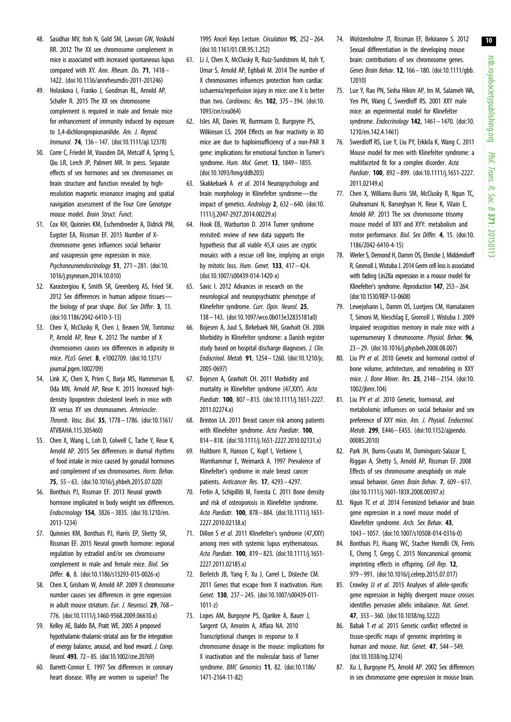- <span id="page-11-0"></span>48. Sasidhar MV, Itoh N, Gold SM, Lawson GW, Voskuhl RR. 2012 The XX sex chromosome complement in mice is associated with increased spontaneous lupus compared with XY. Ann. Rheum. Dis. 71, 1418-1422. ([doi:10.1136/annrheumdis-2011-201246\)](http://dx.doi.org/10.1136/annrheumdis-2011-201246)
- 49. Holaskova I, Franko J, Goodman RL, Arnold AP, Schafer R. 2015 The XX sex chromosome complement is required in male and female mice for enhancement of immunity induced by exposure to 3,4-dichloropropionanilide. Am. J. Reprod. Immunol. 74, 136 – 147. [\(doi:10.1111/aji.12378](http://dx.doi.org/10.1111/aji.12378))
- 50. Corre C, Friedel M, Vousden DA, Metcalf A, Spring S, Qiu LR, Lerch JP, Palmert MR. In press. Separate effects of sex hormones and sex chromosomes on brain structure and function revealed by highresolution magnetic resonance imaging and spatial navigation assessment of the Four Core Genotype mouse model. Brain Struct. Funct.
- 51. Cox KH, Quinnies KM, Eschendroeder A, Didrick PM, Eugster EA, Rissman EF. 2015 Number of Xchromosome genes influences social behavior and vasopressin gene expression in mice. Psychoneuroendocrinology 51, 271– 281. ([doi:10.](http://dx.doi.org/10.1016/j.psyneuen.2014.10.010) [1016/j.psyneuen.2014.10.010\)](http://dx.doi.org/10.1016/j.psyneuen.2014.10.010)
- 52. Karastergiou K, Smith SR, Greenberg AS, Fried SK. 2012 Sex differences in human adipose tissues the biology of pear shape. Biol. Sex Differ. 3, 13. [\(doi:10.1186/2042-6410-3-13](http://dx.doi.org/10.1186/2042-6410-3-13))
- 53. Chen X, McClusky R, Chen J, Beaven SW, Tontonoz P, Arnold AP, Reue K. 2012 The number of X chromosomes causes sex differences in adiposity in mice. PLoS Genet. 8, e1002709. ([doi:10.1371/](http://dx.doi.org/10.1371/journal.pgen.1002709) [journal.pgen.1002709](http://dx.doi.org/10.1371/journal.pgen.1002709))
- 54. Link JC, Chen X, Prien C, Borja MS, Hammerson B, Oda MN, Arnold AP, Reue K. 2015 Increased highdensity lipoprotein cholesterol levels in mice with XX versus XY sex chromosomes. Arterioscler. Thromb. Vasc. Biol. 35, 1778 – 1786. ([doi:10.1161/](http://dx.doi.org/10.1161/ATVBAHA.115.305460) [ATVBAHA.115.305460\)](http://dx.doi.org/10.1161/ATVBAHA.115.305460)
- 55. Chen X, Wang L, Loh D, Colwell C, Tache Y, Reue K, Arnold AP. 2015 Sex differences in diurnal rhythms of food intake in mice caused by gonadal hormones and complement of sex chromosomes. Horm. Behav. 75, 55 – 63. ([doi:10.1016/j.yhbeh.2015.07.020](http://dx.doi.org/10.1016/j.yhbeh.2015.07.020))
- 56. Bonthuis PJ, Rissman EF. 2013 Neural growth hormone implicated in body weight sex differences. Endocrinology 154, 3826– 3835. ([doi:10.1210/en.](http://dx.doi.org/10.1210/en.2013-1234) [2013-1234\)](http://dx.doi.org/10.1210/en.2013-1234)
- 57. Quinnies KM, Bonthuis PJ, Harris EP, Shetty SR, Rissman EF. 2015 Neural growth hormone: regional regulation by estradiol and/or sex chromosome complement in male and female mice. Biol. Sex Differ. 6, 8. [\(doi:10.1186/s13293-015-0026-x](http://dx.doi.org/10.1186/s13293-015-0026-x))
- 58. Chen X, Grisham W, Arnold AP. 2009 X chromosome number causes sex differences in gene expression in adult mouse striatum. Eur. J. Neurosci. 29, 768– 776. [\(doi:10.1111/j.1460-9568.2009.06610.x\)](http://dx.doi.org/10.1111/j.1460-9568.2009.06610.x)
- 59. Kelley AE, Baldo BA, Pratt WE. 2005 A proposed hypothalamic-thalamic-striatal axis for the integration of energy balance, arousal, and food reward. J. Comp. Neurol. 493, 72–85. [\(doi:10.1002/cne.20769\)](http://dx.doi.org/10.1002/cne.20769)
- 60. Barrett-Connor E. 1997 Sex differences in coronary heart disease. Why are women so superior? The

1995 Ancel Keys Lecture. Circulation 95, 252– 264. [\(doi:10.1161/01.CIR.95.1.252](http://dx.doi.org/10.1161/01.CIR.95.1.252))

- 61. Li J, Chen X, McClusky R, Ruiz-Sundstrom M, Itoh Y, Umar S, Arnold AP, Eghbali M. 2014 The number of X chromosomes influences protection from cardiac ischaemia/reperfusion injury in mice: one X is better than two. Cardiovasc. Res. 102, 375– 394. [\(doi:10.](http://dx.doi.org/10.1093/cvr/cvu064) [1093/cvr/cvu064\)](http://dx.doi.org/10.1093/cvr/cvu064)
- 62. Isles AR, Davies W, Burrmann D, Burgoyne PS, Wilkinson LS. 2004 Effects on fear reactivity in XO mice are due to haploinsufficiency of a non-PAR X gene: implications for emotional function in Turner's syndrome. Hum. Mol. Genet. **13**, 1849 - 1855. [\(doi:10.1093/hmg/ddh203\)](http://dx.doi.org/10.1093/hmg/ddh203)
- 63. Skakkebaek A et al. 2014 Neuropsychology and brain morphology in Klinefelter syndrome—the impact of genetics. Andrology 2, 632– 640. [\(doi:10.](http://dx.doi.org/10.1111/j.2047-2927.2014.00229.x) [1111/j.2047-2927.2014.00229.x](http://dx.doi.org/10.1111/j.2047-2927.2014.00229.x))
- 64. Hook EB, Warburton D. 2014 Turner syndrome revisited: review of new data supports the hypothesis that all viable 45,X cases are cryptic mosaics with a rescue cell line, implying an origin by mitotic loss. Hum. Genet. 133, 417– 424. [\(doi:10.1007/s00439-014-1420-x](http://dx.doi.org/10.1007/s00439-014-1420-x))
- 65. Savic I. 2012 Advances in research on the neurological and neuropsychiatric phenotype of Klinefelter syndrome. Curr. Opin. Neurol. 25, 138 – 143. [\(doi:10.1097/wco.0b013e32835181a0](http://dx.doi.org/10.1097/wco.0b013e32835181a0))
- 66. Bojesen A, Juul S, Birkebaek NH, Gravholt CH. 2006 Morbidity in Klinefelter syndrome: a Danish register study based on hospital discharge diagnoses. J. Clin. Endocrinol. Metab. 91, 1254 – 1260. [\(doi:10.1210/jc.](http://dx.doi.org/10.1210/jc.2005-0697) [2005-0697](http://dx.doi.org/10.1210/jc.2005-0697))
- 67. Bojesen A, Gravholt CH. 2011 Morbidity and mortality in Klinefelter syndrome (47,XXY). Acta Paediatr. 100, 807 – 813. ([doi:10.1111/j.1651-2227.](http://dx.doi.org/10.1111/j.1651-2227.2011.02274.x) [2011.02274.x\)](http://dx.doi.org/10.1111/j.1651-2227.2011.02274.x)
- 68. Brinton LA. 2011 Breast cancer risk among patients with Klinefelter syndrome. Acta Paediatr. 100, 814 – 818. [\(doi:10.1111/j.1651-2227.2010.02131.x](http://dx.doi.org/10.1111/j.1651-2227.2010.02131.x))
- 69. Hultborn R, Hanson C, Kopf I, Verbiene I, Warnhammar E, Weimarck A. 1997 Prevalence of Klinefelter's syndrome in male breast cancer patients. Anticancer Res. 17, 4293– 4297.
- 70. Ferlin A, Schipilliti M, Foresta C. 2011 Bone density and risk of osteoporosis in Klinefelter syndrome. Acta Paediatr. 100, 878– 884. ([doi:10.1111/j.1651-](http://dx.doi.org/10.1111/j.1651-2227.2010.02138.x) [2227.2010.02138.x\)](http://dx.doi.org/10.1111/j.1651-2227.2010.02138.x)
- 71. Dillon S et al. 2011 Klinefelter's syndrome (47,XXY) among men with systemic lupus erythematosus. Acta Paediatr. 100, 819– 823. ([doi:10.1111/j.1651-](http://dx.doi.org/10.1111/j.1651-2227.2011.02185.x) [2227.2011.02185.x\)](http://dx.doi.org/10.1111/j.1651-2227.2011.02185.x)
- 72. Berletch JB, Yang F, Xu J, Carrel L, Disteche CM. 2011 Genes that escape from X inactivation. Hum. Genet. 130, 237– 245. [\(doi:10.1007/s00439-011-](http://dx.doi.org/10.1007/s00439-011-1011-z)  $1011-z$
- 73. Lopes AM, Burgoyne PS, Ojarikre A, Bauer J, Sargent CA, Amorim A, Affara NA. 2010 Transcriptional changes in response to X chromosome dosage in the mouse: implications for X inactivation and the molecular basis of Turner syndrome. BMC Genomics 11, 82. ([doi:10.1186/](http://dx.doi.org/10.1186/1471-2164-11-82) [1471-2164-11-82\)](http://dx.doi.org/10.1186/1471-2164-11-82)
- 74. Wolstenholme JT, Rissman EF, Bekiranov S. 2012 Sexual differentiation in the developing mouse brain: contributions of sex chromosome genes. Genes Brain Behav. 12, 166– 180. ([doi:10.1111/gbb.](http://dx.doi.org/10.1111/gbb.12010) [12010\)](http://dx.doi.org/10.1111/gbb.12010)
- 75. Lue Y, Rao PN, Sinha Hikim AP, Im M, Salameh WA, Yen PH, Wang C, Swerdloff RS. 2001 XXY male mice: an experimental model for Klinefelter syndrome. Endocrinology 142, 1461-1470. [\(doi:10.](http://dx.doi.org/10.1210/en.142.4.1461) [1210/en.142.4.1461](http://dx.doi.org/10.1210/en.142.4.1461))
- 76. Swerdloff RS, Lue Y, Liu PY, Erkkila K, Wang C. 2011 Mouse model for men with Klinefelter syndrome: a multifaceted fit for a complex disorder. Acta Paediatr. 100, 892– 899. ([doi:10.1111/j.1651-2227.](http://dx.doi.org/10.1111/j.1651-2227.2011.02149.x) [2011.02149.x](http://dx.doi.org/10.1111/j.1651-2227.2011.02149.x))
- 77. Chen X, Williams-Burris SM, McClusky R, Ngun TC, Ghahramani N, Barseghyan H, Reue K, Vilain E, Arnold AP. 2013 The sex chromosome trisomy mouse model of XXY and XYY: metabolism and motor performance. Biol. Sex Differ. 4, 15. [\(doi:10.](http://dx.doi.org/10.1186/2042-6410-4-15) [1186/2042-6410-4-15](http://dx.doi.org/10.1186/2042-6410-4-15))
- 78. Werler S, Demond H, Damm OS, Ehmcke J, Middendorff R, Gromoll J, Wistuba J. 2014 Germ cell loss is associated with fading Lin28a expression in a mouse model for Klinefelter's syndrome. Reproduction 147, 253–264. ([doi:10.1530/REP-13-0608](http://dx.doi.org/10.1530/REP-13-0608))
- 79. Lewejohann L, Damm OS, Luetjens CM, Hamalainen T, Simoni M, Nieschlag E, Gromoll J, Wistuba J. 2009 Impaired recognition memory in male mice with a supernumerary X chromosome. Physiol. Behav. 96, 23– 29. [\(doi:10.1016/j.physbeh.2008.08.007\)](http://dx.doi.org/10.1016/j.physbeh.2008.08.007)
- 80. Liu PY et al. 2010 Genetic and hormonal control of bone volume, architecture, and remodeling in XXY mice. J. Bone Miner. Res. 25, 2148 – 2154. [\(doi:10.](http://dx.doi.org/10.1002/jbmr.104) [1002/jbmr.104](http://dx.doi.org/10.1002/jbmr.104))
- 81. Liu PY et al. 2010 Genetic, hormonal, and metabolomic influences on social behavior and sex preference of XXY mice. Am. J. Physiol. Endocrinol. Metab. 299, E446– E455. [\(doi:10.1152/ajpendo.](http://dx.doi.org/10.1152/ajpendo.00085.2010) [00085.2010\)](http://dx.doi.org/10.1152/ajpendo.00085.2010)
- 82. Park JH, Burns-Cusato M, Dominguez-Salazar E, Riggan A, Shetty S, Arnold AP, Rissman EF. 2008 Effects of sex chromosome aneuploidy on male sexual behavior. Genes Brain Behav. **7**, 609-617. ([doi:10.1111/j.1601-183X.2008.00397.x\)](http://dx.doi.org/10.1111/j.1601-183X.2008.00397.x)
- 83. Ngun TC et al. 2014 Feminized behavior and brain gene expression in a novel mouse model of Klinefelter syndrome. Arch. Sex Behav. 43, 1043– 1057. ([doi:10.1007/s10508-014-0316-0](http://dx.doi.org/10.1007/s10508-014-0316-0))
- 84. Bonthuis PJ, Huang WC, Stacher Horndli CN, Ferris E, Cheng T, Gregg C. 2015 Noncanonical genomic imprinting effects in offspring. Cell Rep. 12, 979– 991. [\(doi:10.1016/j.celrep.2015.07.017\)](http://dx.doi.org/10.1016/j.celrep.2015.07.017)
- 85. Crowley JJ et al. 2015 Analyses of allele-specific gene expression in highly divergent mouse crosses identifies pervasive allelic imbalance. Nat. Genet. 47, 353 – 360. [\(doi:10.1038/ng.3222](http://dx.doi.org/10.1038/ng.3222))
- 86. Babak T et al. 2015 Genetic conflict reflected in tissue-specific maps of genomic imprinting in human and mouse. Nat. Genet. **47**, 544 – 549. ([doi:10.1038/ng.3274\)](http://dx.doi.org/10.1038/ng.3274)
- 87. Xu J, Burgoyne PS, Arnold AP. 2002 Sex differences in sex chromosome gene expression in mouse brain.